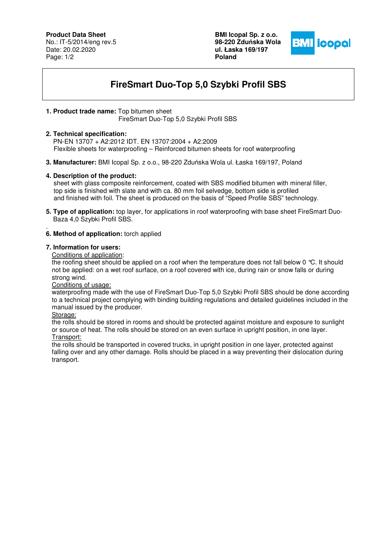## **Product Data Sheet**

No.: IT-5/2014/eng rev.5 Date: 20.02.2020 Page: 1/2

**BMI Icopal Sp. z o.o. 98-220 Zdu**ń**ska Wola ul. Łaska 169/197 Poland** 



# **FireSmart Duo-Top 5,0 Szybki Profil SBS**

### **1. Product trade name:** Top bitumen sheet

FireSmart Duo-Top 5,0 Szybki Profil SBS

#### **2. Technical specification:**

 PN-EN 13707 + A2:2012 IDT. EN 13707:2004 + A2:2009 Flexible sheets for waterproofing – Reinforced bitumen sheets for roof waterproofing

**3. Manufacturer:** BMI Icopal Sp. z o.o., 98-220 Zduńska Wola ul. Łaska 169/197, Poland

#### **4. Description of the product:**

 sheet with glass composite reinforcement, coated with SBS modified bitumen with mineral filler, top side is finished with slate and with ca. 80 mm foil selvedge, bottom side is profiled and finished with foil. The sheet is produced on the basis of "Speed Profile SBS" technology.

**5. Type of application:** top layer, for applications in roof waterproofing with base sheet FireSmart Duo- Baza 4,0 Szybki Profil SBS.

#### . **6. Method of application:** torch applied

#### **7. Information for users:**

Conditions of application:

the roofing sheet should be applied on a roof when the temperature does not fall below 0 °C. It should not be applied: on a wet roof surface, on a roof covered with ice, during rain or snow falls or during strong wind.

Conditions of usage:

waterproofing made with the use of FireSmart Duo-Top 5,0 Szybki Profil SBS should be done according to a technical project complying with binding building regulations and detailed guidelines included in the manual issued by the producer.

Storage:

the rolls should be stored in rooms and should be protected against moisture and exposure to sunlight or source of heat. The rolls should be stored on an even surface in upright position, in one layer. Transport:

the rolls should be transported in covered trucks, in upright position in one layer, protected against

falling over and any other damage. Rolls should be placed in a way preventing their dislocation during transport.